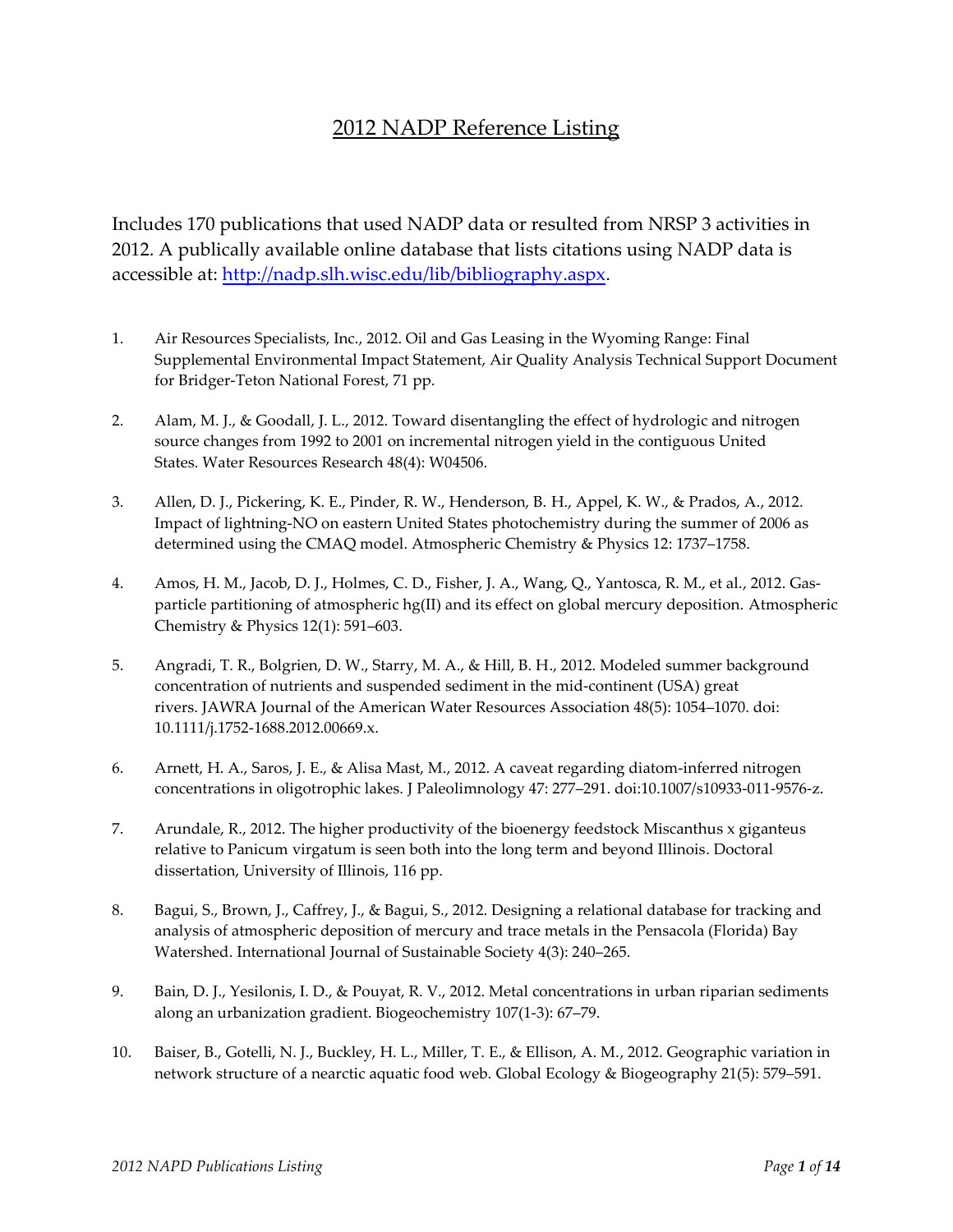## 2012 NADP Reference Listing

Includes 170 publications that used NADP data or resulted from NRSP 3 activities in 2012. A publically available online database that lists citations using NADP data is accessible at: http://nadp.slh.wisc[.edu/lib/bibliography.aspx.](http://nadp.slh.wisc.edu/lib/bibliography.aspx) 

- 1. Air Resources Specialists, Inc., 2012. Oil and Gas Leasing in the Wyoming Range: Final Supplemental Environmental Impact Statement, Air Quality Analysis Technical Support Document for Bridger-Teton National Forest, 71 pp.
- 2. Alam, M. J., & Goodall, J. L., 2012. Toward disentangling the effect of hydrologic and nitrogen source changes from 1992 to 2001 on incremental nitrogen yield in the contiguous United States. Water Resources Research 48(4): W04506.
- 3. Allen, D. J., Pickering, K. E., Pinder, R. W., Henderson, B. H., Appel, K. W., & Prados, A., 2012. Impact of lightning-NO on eastern United States photochemistry during the summer of 2006 as determined using the CMAQ model. Atmospheric Chemistry & Physics 12: 1737–1758.
- 4. Amos, H. M., Jacob, D. J., Holmes, C. D., Fisher, J. A., Wang, Q., Yantosca, R. M., et al., 2012. Gasparticle partitioning of atmospheric hg(II) and its effect on global mercury deposition. Atmospheric Chemistry & Physics 12(1): 591–603.
- 5. Angradi, T. R., Bolgrien, D. W., Starry, M. A., & Hill, B. H., 2012. Modeled summer background concentration of nutrients and suspended sediment in the mid‐continent (USA) great rivers. JAWRA Journal of the American Water Resources Association 48(5): 1054–1070. doi: 10.1111/j.1752-1688.2012.00669.x.
- 6. Arnett, H. A., Saros, J. E., & Alisa Mast, M., 2012. A caveat regarding diatom-inferred nitrogen concentrations in oligotrophic lakes. J Paleolimnology 47: 277–291. doi:10.1007/s10933-011-9576-z.
- 7. Arundale, R., 2012. The higher productivity of the bioenergy feedstock Miscanthus x giganteus relative to Panicum virgatum is seen both into the long term and beyond Illinois. Doctoral dissertation, University of Illinois, 116 pp.
- 8. Bagui, S., Brown, J., Caffrey, J., & Bagui, S., 2012. Designing a relational database for tracking and analysis of atmospheric deposition of mercury and trace metals in the Pensacola (Florida) Bay Watershed. International Journal of Sustainable Society 4(3): 240–265.
- 9. Bain, D. J., Yesilonis, I. D., & Pouyat, R. V., 2012. Metal concentrations in urban riparian sediments along an urbanization gradient. Biogeochemistry 107(1-3): 67–79.
- 10. Baiser, B., Gotelli, N. J., Buckley, H. L., Miller, T. E., & Ellison, A. M., 2012. Geographic variation in network structure of a nearctic aquatic food web. Global Ecology & Biogeography 21(5): 579–591.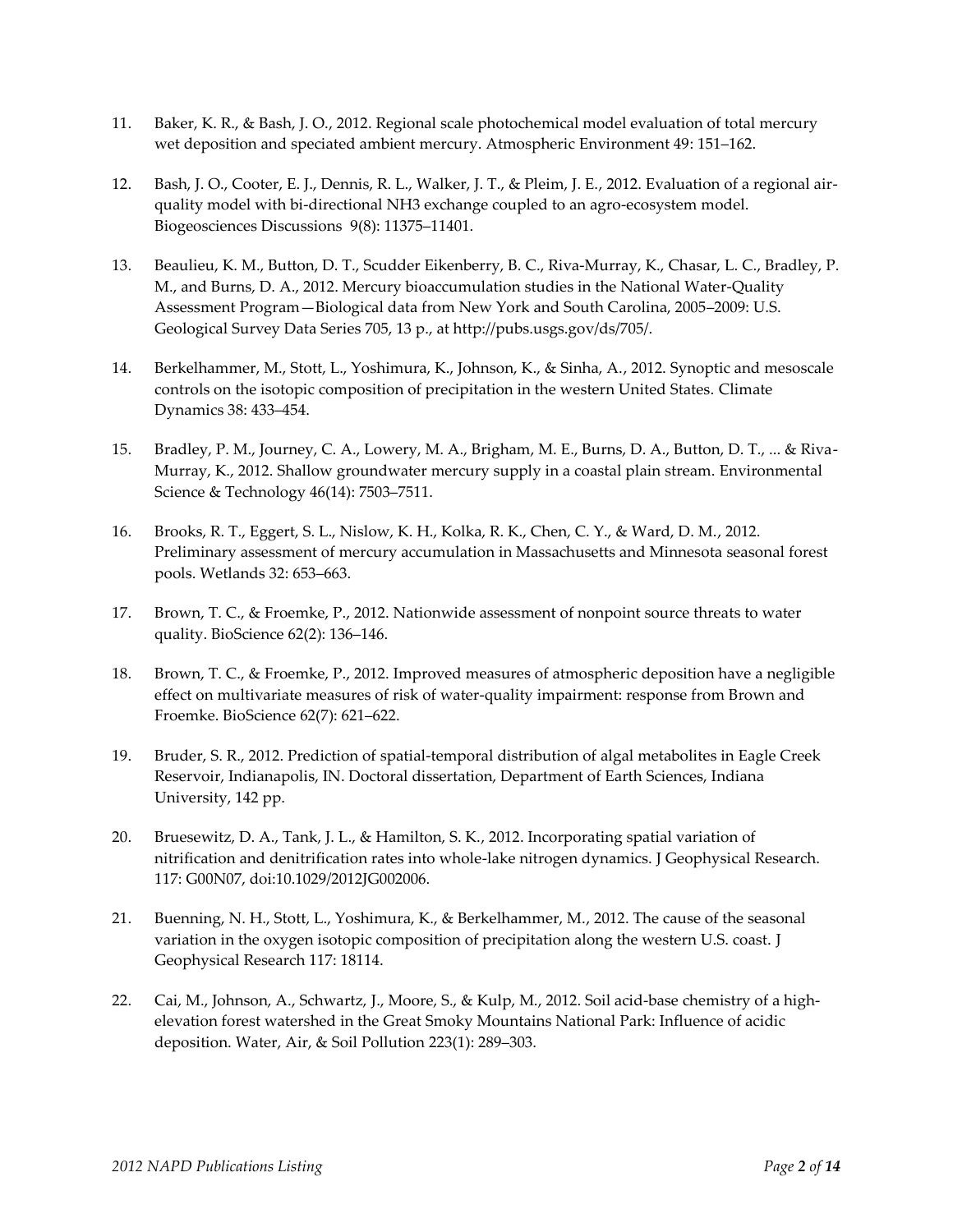- 11. Baker, K. R., & Bash, J. O., 2012. Regional scale photochemical model evaluation of total mercury wet deposition and speciated ambient mercury. Atmospheric Environment 49: 151–162.
- 12. Bash, J. O., Cooter, E. J., Dennis, R. L., Walker, J. T., & Pleim, J. E., 2012. Evaluation of a regional airquality model with bi-directional NH3 exchange coupled to an agro-ecosystem model. Biogeosciences Discussions 9(8): 11375–11401.
- 13. Beaulieu, K. M., Button, D. T., Scudder Eikenberry, B. C., Riva-Murray, K., Chasar, L. C., Bradley, P. M., and Burns, D. A., 2012. Mercury bioaccumulation studies in the National Water-Quality Assessment Program—Biological data from New York and South Carolina, 2005–2009: U.S. Geological Survey Data Series 705, 13 p., at http://pubs.usgs.gov/ds/705/.
- 14. Berkelhammer, M., Stott, L., Yoshimura, K., Johnson, K., & Sinha, A., 2012. Synoptic and mesoscale controls on the isotopic composition of precipitation in the western United States. Climate Dynamics 38: 433–454.
- 15. Bradley, P. M., Journey, C. A., Lowery, M. A., Brigham, M. E., Burns, D. A., Button, D. T., ... & Riva-Murray, K., 2012. Shallow groundwater mercury supply in a coastal plain stream. Environmental Science & Technology 46(14): 7503–7511.
- 16. Brooks, R. T., Eggert, S. L., Nislow, K. H., Kolka, R. K., Chen, C. Y., & Ward, D. M., 2012. Preliminary assessment of mercury accumulation in Massachusetts and Minnesota seasonal forest pools. Wetlands 32: 653–663.
- 17. Brown, T. C., & Froemke, P., 2012. Nationwide assessment of nonpoint source threats to water quality. BioScience 62(2): 136–146.
- 18. Brown, T. C., & Froemke, P., 2012. Improved measures of atmospheric deposition have a negligible effect on multivariate measures of risk of water-quality impairment: response from Brown and Froemke. BioScience 62(7): 621–622.
- 19. Bruder, S. R., 2012. Prediction of spatial-temporal distribution of algal metabolites in Eagle Creek Reservoir, Indianapolis, IN. Doctoral dissertation, Department of Earth Sciences, Indiana University, 142 pp.
- 20. Bruesewitz, D. A., Tank, J. L., & Hamilton, S. K., 2012. Incorporating spatial variation of nitrification and denitrification rates into whole-lake nitrogen dynamics. J Geophysical Research. 117: G00N07, doi:10.1029/2012JG002006.
- 21. Buenning, N. H., Stott, L., Yoshimura, K., & Berkelhammer, M., 2012. The cause of the seasonal variation in the oxygen isotopic composition of precipitation along the western U.S. coast. J Geophysical Research 117: 18114.
- 22. Cai, M., Johnson, A., Schwartz, J., Moore, S., & Kulp, M., 2012. Soil acid-base chemistry of a highelevation forest watershed in the Great Smoky Mountains National Park: Influence of acidic deposition. Water, Air, & Soil Pollution 223(1): 289–303.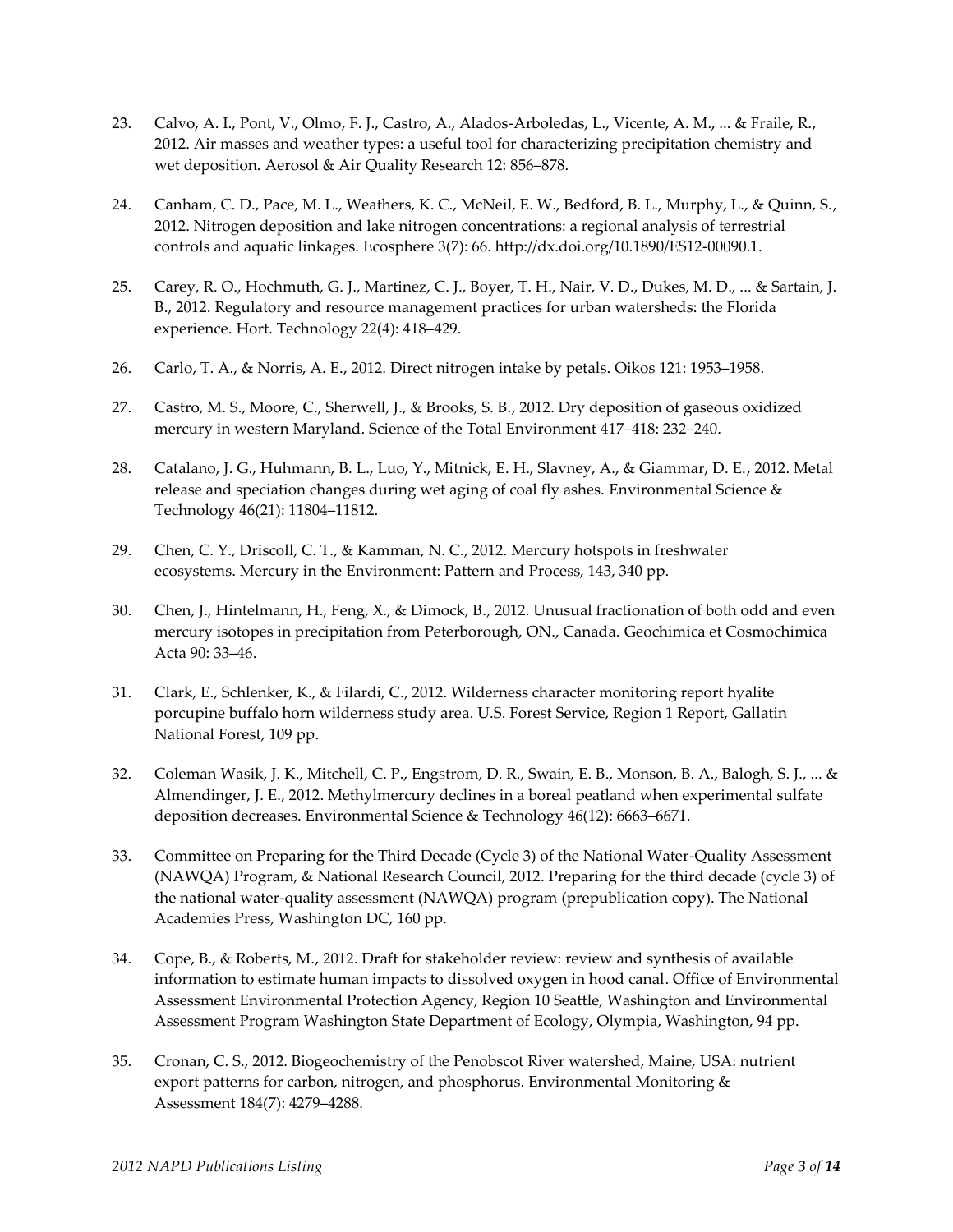- 23. Calvo, A. I., Pont, V., Olmo, F. J., Castro, A., Alados-Arboledas, L., Vicente, A. M., ... & Fraile, R., 2012. Air masses and weather types: a useful tool for characterizing precipitation chemistry and wet deposition. Aerosol & Air Quality Research 12: 856–878.
- 24. Canham, C. D., Pace, M. L., Weathers, K. C., McNeil, E. W., Bedford, B. L., Murphy, L., & Quinn, S., 2012. Nitrogen deposition and lake nitrogen concentrations: a regional analysis of terrestrial controls and aquatic linkages. Ecosphere 3(7): 66. http://dx.doi.org/10.1890/ES12-00090.1.
- 25. Carey, R. O., Hochmuth, G. J., Martinez, C. J., Boyer, T. H., Nair, V. D., Dukes, M. D., ... & Sartain, J. B., 2012. Regulatory and resource management practices for urban watersheds: the Florida experience. Hort. Technology 22(4): 418–429.
- 26. Carlo, T. A., & Norris, A. E., 2012. Direct nitrogen intake by petals. Oikos 121: 1953–1958.
- 27. Castro, M. S., Moore, C., Sherwell, J., & Brooks, S. B., 2012. Dry deposition of gaseous oxidized mercury in western Maryland. Science of the Total Environment 417–418: 232–240.
- 28. Catalano, J. G., Huhmann, B. L., Luo, Y., Mitnick, E. H., Slavney, A., & Giammar, D. E., 2012. Metal release and speciation changes during wet aging of coal fly ashes. Environmental Science & Technology 46(21): 11804–11812.
- 29. Chen, C. Y., Driscoll, C. T., & Kamman, N. C., 2012. Mercury hotspots in freshwater ecosystems. Mercury in the Environment: Pattern and Process, 143, 340 pp.
- 30. Chen, J., Hintelmann, H., Feng, X., & Dimock, B., 2012. Unusual fractionation of both odd and even mercury isotopes in precipitation from Peterborough, ON., Canada. Geochimica et Cosmochimica Acta 90: 33–46.
- 31. Clark, E., Schlenker, K., & Filardi, C., 2012. Wilderness character monitoring report hyalite porcupine buffalo horn wilderness study area. U.S. Forest Service, Region 1 Report, Gallatin National Forest, 109 pp.
- 32. Coleman Wasik, J. K., Mitchell, C. P., Engstrom, D. R., Swain, E. B., Monson, B. A., Balogh, S. J., ... & Almendinger, J. E., 2012. Methylmercury declines in a boreal peatland when experimental sulfate deposition decreases. Environmental Science & Technology 46(12): 6663–6671.
- 33. Committee on Preparing for the Third Decade (Cycle 3) of the National Water-Quality Assessment (NAWQA) Program, & National Research Council, 2012. Preparing for the third decade (cycle 3) of the national water-quality assessment (NAWQA) program (prepublication copy). The National Academies Press, Washington DC, 160 pp.
- 34. Cope, B., & Roberts, M., 2012. Draft for stakeholder review: review and synthesis of available information to estimate human impacts to dissolved oxygen in hood canal. Office of Environmental Assessment Environmental Protection Agency, Region 10 Seattle, Washington and Environmental Assessment Program Washington State Department of Ecology, Olympia, Washington, 94 pp.
- 35. Cronan, C. S., 2012. Biogeochemistry of the Penobscot River watershed, Maine, USA: nutrient export patterns for carbon, nitrogen, and phosphorus. Environmental Monitoring & Assessment 184(7): 4279–4288.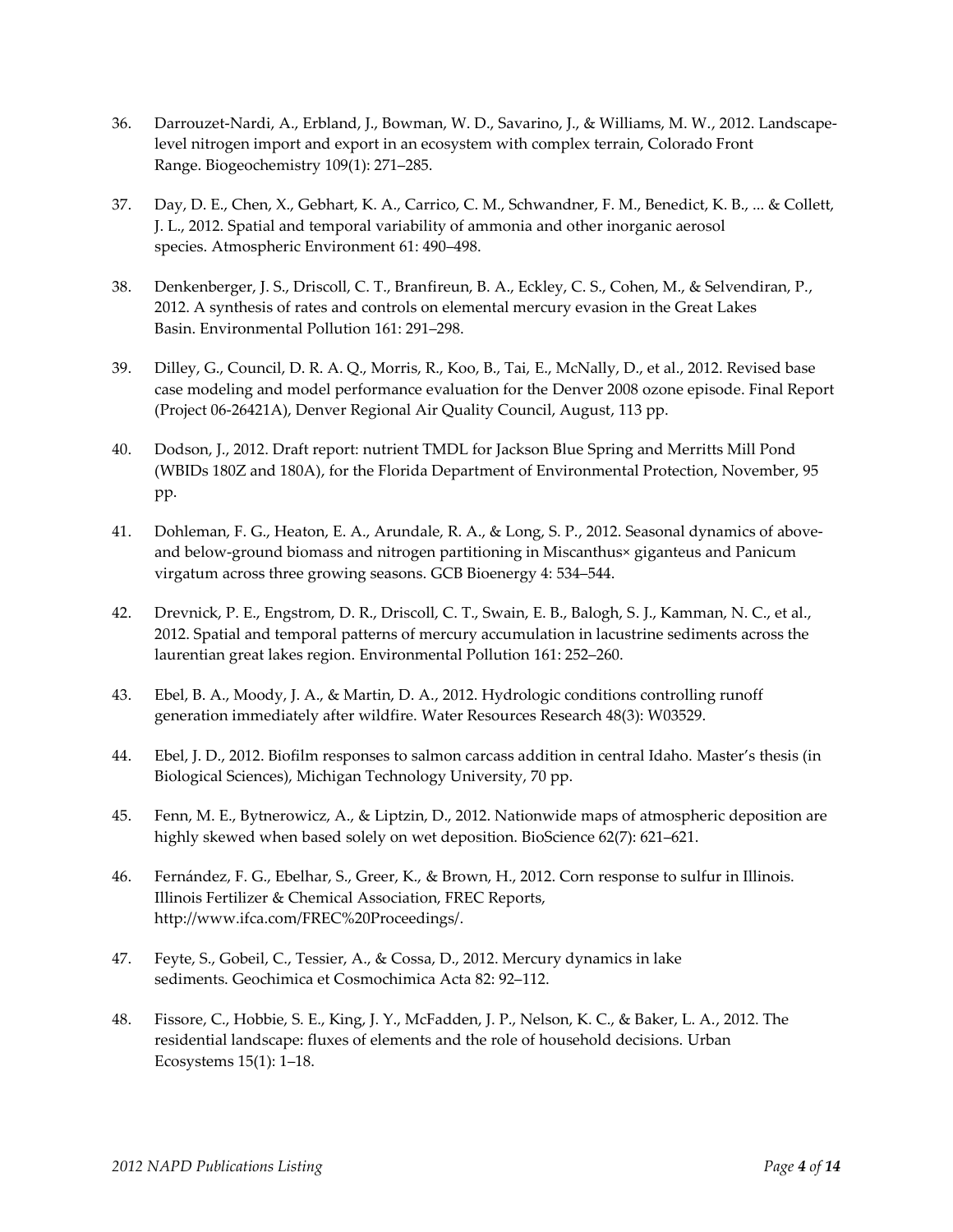- 36. Darrouzet-Nardi, A., Erbland, J., Bowman, W. D., Savarino, J., & Williams, M. W., 2012. Landscapelevel nitrogen import and export in an ecosystem with complex terrain, Colorado Front Range. Biogeochemistry 109(1): 271–285.
- 37. Day, D. E., Chen, X., Gebhart, K. A., Carrico, C. M., Schwandner, F. M., Benedict, K. B., ... & Collett, J. L., 2012. Spatial and temporal variability of ammonia and other inorganic aerosol species. Atmospheric Environment 61: 490–498.
- 38. Denkenberger, J. S., Driscoll, C. T., Branfireun, B. A., Eckley, C. S., Cohen, M., & Selvendiran, P., 2012. A synthesis of rates and controls on elemental mercury evasion in the Great Lakes Basin. Environmental Pollution 161: 291–298.
- 39. Dilley, G., Council, D. R. A. Q., Morris, R., Koo, B., Tai, E., McNally, D., et al., 2012. Revised base case modeling and model performance evaluation for the Denver 2008 ozone episode. Final Report (Project 06-26421A), Denver Regional Air Quality Council, August, 113 pp.
- 40. Dodson, J., 2012. Draft report: nutrient TMDL for Jackson Blue Spring and Merritts Mill Pond (WBIDs 180Z and 180A), for the Florida Department of Environmental Protection, November, 95 pp.
- 41. Dohleman, F. G., Heaton, E. A., Arundale, R. A., & Long, S. P., 2012. Seasonal dynamics of aboveand below‐ground biomass and nitrogen partitioning in Miscanthus× giganteus and Panicum virgatum across three growing seasons. GCB Bioenergy 4: 534–544.
- 42. Drevnick, P. E., Engstrom, D. R., Driscoll, C. T., Swain, E. B., Balogh, S. J., Kamman, N. C., et al., 2012. Spatial and temporal patterns of mercury accumulation in lacustrine sediments across the laurentian great lakes region. Environmental Pollution 161: 252–260.
- 43. Ebel, B. A., Moody, J. A., & Martin, D. A., 2012. Hydrologic conditions controlling runoff generation immediately after wildfire. Water Resources Research 48(3): W03529.
- 44. Ebel, J. D., 2012. Biofilm responses to salmon carcass addition in central Idaho. Master's thesis (in Biological Sciences), Michigan Technology University, 70 pp.
- 45. Fenn, M. E., Bytnerowicz, A., & Liptzin, D., 2012. Nationwide maps of atmospheric deposition are highly skewed when based solely on wet deposition. BioScience 62(7): 621–621.
- 46. Fernández, F. G., Ebelhar, S., Greer, K., & Brown, H., 2012. Corn response to sulfur in Illinois. Illinois Fertilizer & Chemical Association, FREC Reports, [http://www.ifca.com/FREC%20Proceedings/.](http://www.ifca.com/FREC%20Proceedings/)
- 47. Feyte, S., Gobeil, C., Tessier, A., & Cossa, D., 2012. Mercury dynamics in lake sediments. Geochimica et Cosmochimica Acta 82: 92–112.
- 48. Fissore, C., Hobbie, S. E., King, J. Y., McFadden, J. P., Nelson, K. C., & Baker, L. A., 2012. The residential landscape: fluxes of elements and the role of household decisions. Urban Ecosystems 15(1): 1–18.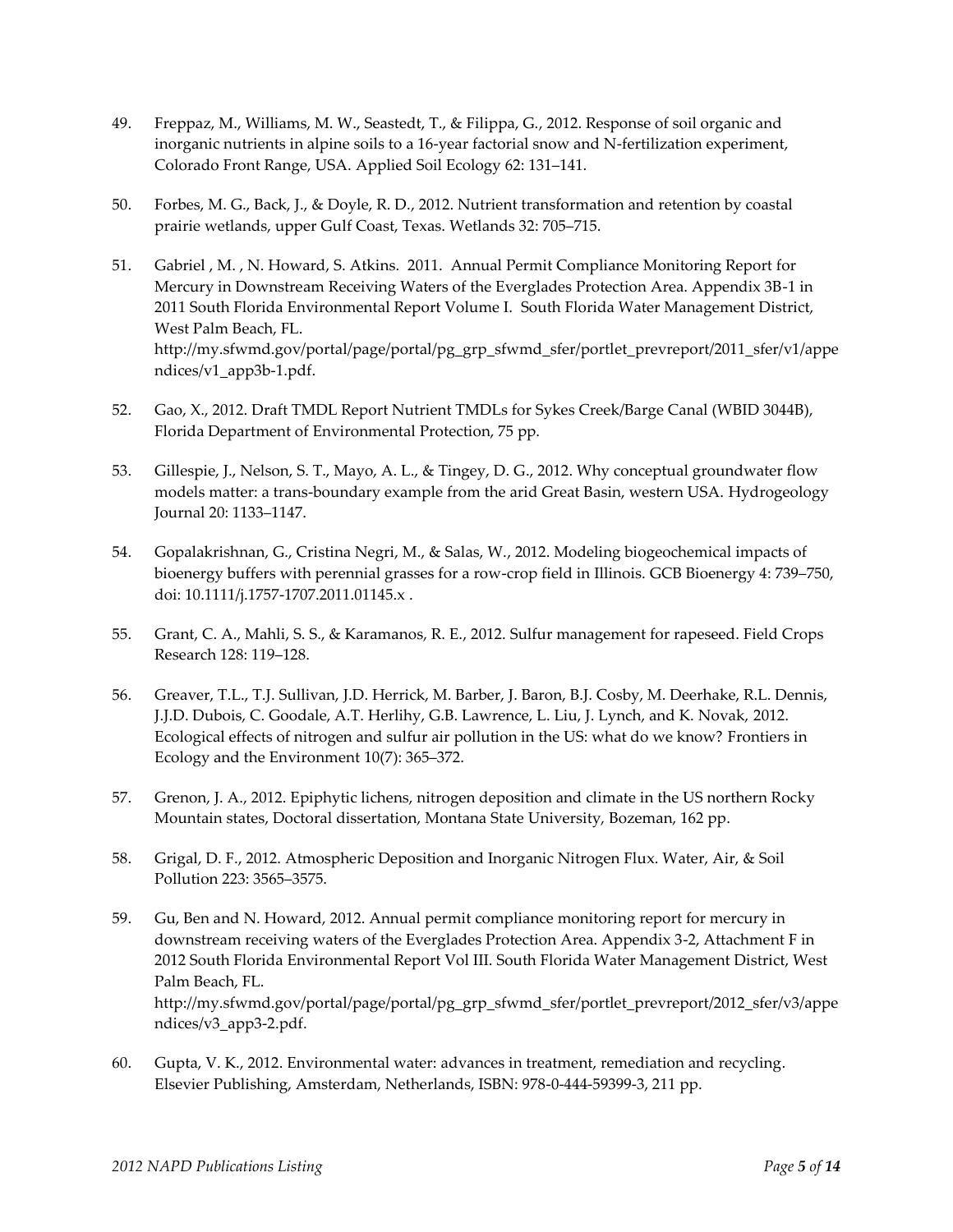- 49. Freppaz, M., Williams, M. W., Seastedt, T., & Filippa, G., 2012. Response of soil organic and inorganic nutrients in alpine soils to a 16-year factorial snow and N-fertilization experiment, Colorado Front Range, USA. Applied Soil Ecology 62: 131–141.
- 50. Forbes, M. G., Back, J., & Doyle, R. D., 2012. Nutrient transformation and retention by coastal prairie wetlands, upper Gulf Coast, Texas. Wetlands 32: 705–715.
- 51. Gabriel , M. , N. Howard, S. Atkins. 2011. Annual Permit Compliance Monitoring Report for Mercury in Downstream Receiving Waters of the Everglades Protection Area. Appendix 3B-1 in 2011 South Florida Environmental Report Volume I. South Florida Water Management District, West Palm Beach, FL. [http://my.sfwmd.gov/portal/page/portal/pg\\_grp\\_sfwmd\\_sfer/portlet\\_prevreport/2011\\_sfer/v1/appe](http://my.sfwmd.gov/portal/page/portal/pg_grp_sfwmd_sfer/portlet_prevreport/2011_sfer/v1/appendices/v1_app3b-1.pdf) [ndices/v1\\_app3b-1.pdf.](http://my.sfwmd.gov/portal/page/portal/pg_grp_sfwmd_sfer/portlet_prevreport/2011_sfer/v1/appendices/v1_app3b-1.pdf)
- 52. Gao, X., 2012. Draft TMDL Report Nutrient TMDLs for Sykes Creek/Barge Canal (WBID 3044B), Florida Department of Environmental Protection, 75 pp.
- 53. Gillespie, J., Nelson, S. T., Mayo, A. L., & Tingey, D. G., 2012. Why conceptual groundwater flow models matter: a trans-boundary example from the arid Great Basin, western USA. Hydrogeology Journal 20: 1133–1147.
- 54. Gopalakrishnan, G., Cristina Negri, M., & Salas, W., 2012. Modeling biogeochemical impacts of bioenergy buffers with perennial grasses for a row-crop field in Illinois. GCB Bioenergy 4: 739–750, doi: 10.1111/j.1757-1707.2011.01145.x .
- 55. Grant, C. A., Mahli, S. S., & Karamanos, R. E., 2012. Sulfur management for rapeseed. Field Crops Research 128: 119–128.
- 56. Greaver, T.L., T.J. Sullivan, J.D. Herrick, M. Barber, J. Baron, B.J. Cosby, M. Deerhake, R.L. Dennis, J.J.D. Dubois, C. Goodale, A.T. Herlihy, G.B. Lawrence, L. Liu, J. Lynch, and K. Novak, 2012. Ecological effects of nitrogen and sulfur air pollution in the US: what do we know? Frontiers in Ecology and the Environment 10(7): 365–372.
- 57. Grenon, J. A., 2012. Epiphytic lichens, nitrogen deposition and climate in the US northern Rocky Mountain states, Doctoral dissertation, Montana State University, Bozeman, 162 pp.
- 58. Grigal, D. F., 2012. Atmospheric Deposition and Inorganic Nitrogen Flux. Water, Air, & Soil Pollution 223: 3565–3575.
- 59. Gu, Ben and N. Howard, 2012. Annual permit compliance monitoring report for mercury in downstream receiving waters of the Everglades Protection Area. Appendix 3-2, Attachment F in 2012 South Florida Environmental Report Vol III. South Florida Water Management District, West Palm Beach, FL. [http://my.sfwmd.gov/portal/page/portal/pg\\_grp\\_sfwmd\\_sfer/portlet\\_prevreport/2012\\_sfer/v3/appe](http://my.sfwmd.gov/portal/page/portal/pg_grp_sfwmd_sfer/portlet_prevreport/2012_sfer/v3/appendices/v3_app3-2.pdf) [ndices/v3\\_app3-2.pdf.](http://my.sfwmd.gov/portal/page/portal/pg_grp_sfwmd_sfer/portlet_prevreport/2012_sfer/v3/appendices/v3_app3-2.pdf)
- 60. Gupta, V. K., 2012. Environmental water: advances in treatment, remediation and recycling. Elsevier Publishing, Amsterdam, Netherlands, ISBN: 978-0-444-59399-3, 211 pp.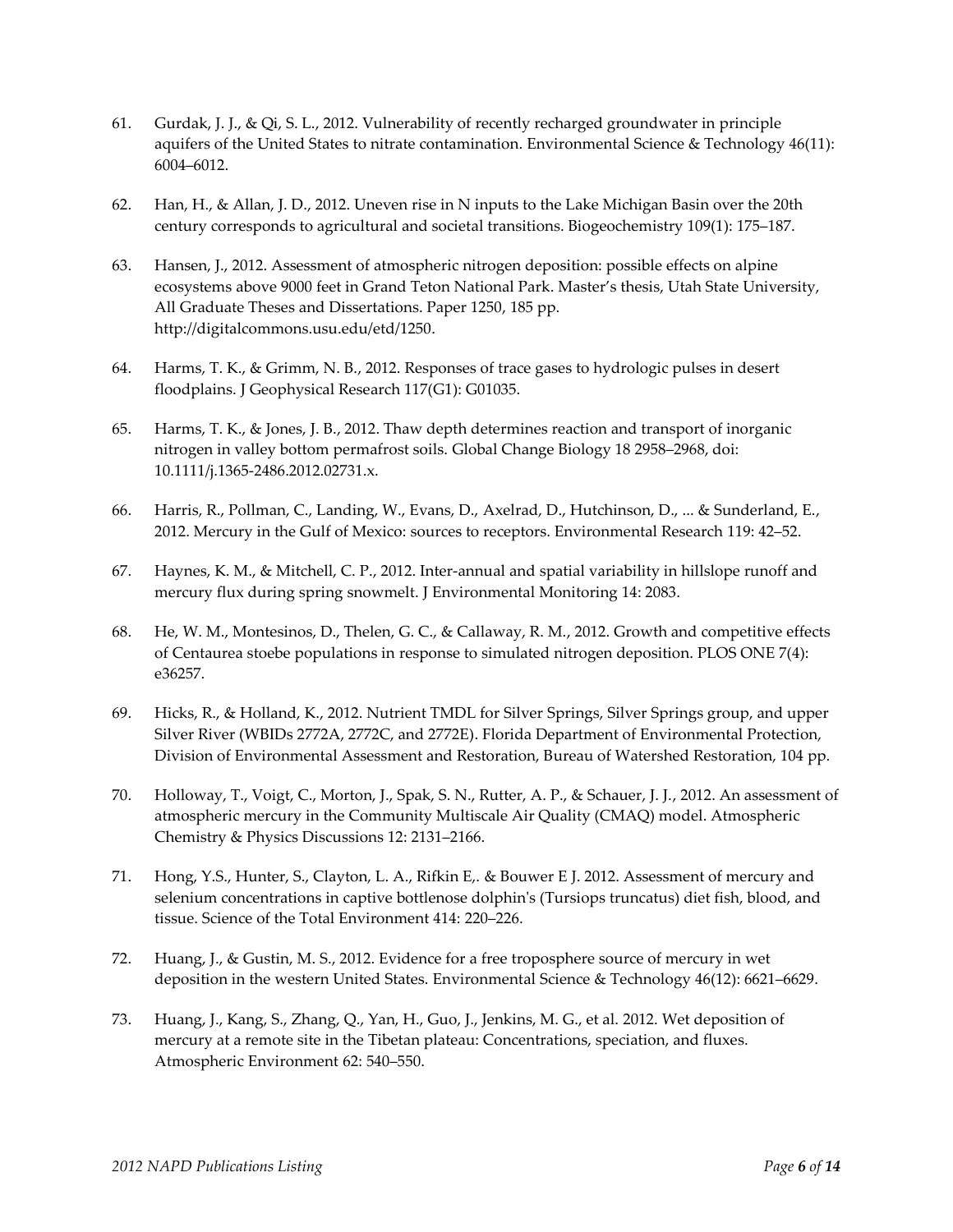- 61. Gurdak, J. J., & Qi, S. L., 2012. Vulnerability of recently recharged groundwater in principle aquifers of the United States to nitrate contamination. Environmental Science & Technology 46(11): 6004–6012.
- 62. Han, H., & Allan, J. D., 2012. Uneven rise in N inputs to the Lake Michigan Basin over the 20th century corresponds to agricultural and societal transitions. Biogeochemistry 109(1): 175–187.
- 63. Hansen, J., 2012. Assessment of atmospheric nitrogen deposition: possible effects on alpine ecosystems above 9000 feet in Grand Teton National Park. Master's thesis, Utah State University, All Graduate Theses and Dissertations. Paper 1250, 185 pp. [http://digitalcommons.usu.edu/etd/1250.](http://digitalcommons.usu.edu/etd/1250)
- 64. Harms, T. K., & Grimm, N. B., 2012. Responses of trace gases to hydrologic pulses in desert floodplains. J Geophysical Research 117(G1): G01035.
- 65. Harms, T. K., & Jones, J. B., 2012. Thaw depth determines reaction and transport of inorganic nitrogen in valley bottom permafrost soils. Global Change Biology 18 2958–2968, doi: 10.1111/j.1365-2486.2012.02731.x.
- 66. Harris, R., Pollman, C., Landing, W., Evans, D., Axelrad, D., Hutchinson, D., ... & Sunderland, E., 2012. Mercury in the Gulf of Mexico: sources to receptors. Environmental Research 119: 42–52.
- 67. Haynes, K. M., & Mitchell, C. P., 2012. Inter-annual and spatial variability in hillslope runoff and mercury flux during spring snowmelt. J Environmental Monitoring 14: 2083.
- 68. He, W. M., Montesinos, D., Thelen, G. C., & Callaway, R. M., 2012. Growth and competitive effects of Centaurea stoebe populations in response to simulated nitrogen deposition. PLOS ONE 7(4): e36257.
- 69. Hicks, R., & Holland, K., 2012. Nutrient TMDL for Silver Springs, Silver Springs group, and upper Silver River (WBIDs 2772A, 2772C, and 2772E). Florida Department of Environmental Protection, Division of Environmental Assessment and Restoration, Bureau of Watershed Restoration, 104 pp.
- 70. Holloway, T., Voigt, C., Morton, J., Spak, S. N., Rutter, A. P., & Schauer, J. J., 2012. An assessment of atmospheric mercury in the Community Multiscale Air Quality (CMAQ) model. Atmospheric Chemistry & Physics Discussions 12: 2131–2166.
- 71. Hong, Y.S., Hunter, S., Clayton, L. A., Rifkin E,. & Bouwer E J. 2012. Assessment of mercury and selenium concentrations in captive bottlenose dolphin's (Tursiops truncatus) diet fish, blood, and tissue. Science of the Total Environment 414: 220–226.
- 72. Huang, J., & Gustin, M. S., 2012. Evidence for a free troposphere source of mercury in wet deposition in the western United States. Environmental Science & Technology 46(12): 6621–6629.
- 73. Huang, J., Kang, S., Zhang, Q., Yan, H., Guo, J., Jenkins, M. G., et al. 2012. Wet deposition of mercury at a remote site in the Tibetan plateau: Concentrations, speciation, and fluxes. Atmospheric Environment 62: 540–550.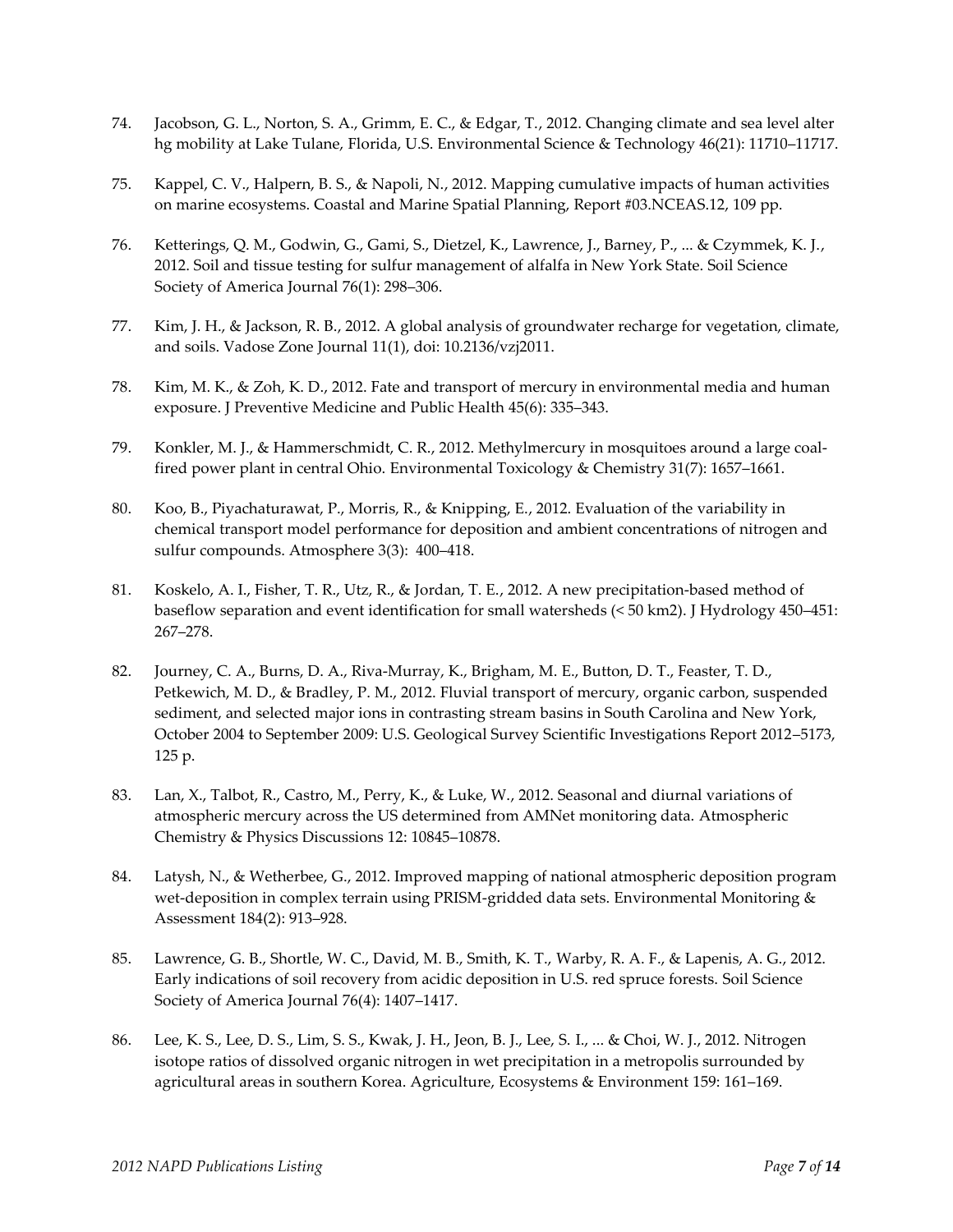- 74. Jacobson, G. L., Norton, S. A., Grimm, E. C., & Edgar, T., 2012. Changing climate and sea level alter hg mobility at Lake Tulane, Florida, U.S. Environmental Science & Technology 46(21): 11710–11717.
- 75. Kappel, C. V., Halpern, B. S., & Napoli, N., 2012. Mapping cumulative impacts of human activities on marine ecosystems. Coastal and Marine Spatial Planning, Report #03.NCEAS.12, 109 pp.
- 76. Ketterings, Q. M., Godwin, G., Gami, S., Dietzel, K., Lawrence, J., Barney, P., ... & Czymmek, K. J., 2012. Soil and tissue testing for sulfur management of alfalfa in New York State. Soil Science Society of America Journal 76(1): 298–306.
- 77. Kim, J. H., & Jackson, R. B., 2012. A global analysis of groundwater recharge for vegetation, climate, and soils. Vadose Zone Journal 11(1), doi: 10.2136/vzj2011.
- 78. Kim, M. K., & Zoh, K. D., 2012. Fate and transport of mercury in environmental media and human exposure. J Preventive Medicine and Public Health 45(6): 335–343.
- 79. Konkler, M. J., & Hammerschmidt, C. R., 2012. Methylmercury in mosquitoes around a large coal‐ fired power plant in central Ohio. Environmental Toxicology & Chemistry 31(7): 1657–1661.
- 80. Koo, B., Piyachaturawat, P., Morris, R., & Knipping, E., 2012. Evaluation of the variability in chemical transport model performance for deposition and ambient concentrations of nitrogen and sulfur compounds. Atmosphere 3(3): 400–418.
- 81. Koskelo, A. I., Fisher, T. R., Utz, R., & Jordan, T. E., 2012. A new precipitation-based method of baseflow separation and event identification for small watersheds (< 50 km2). J Hydrology 450–451: 267–278.
- 82. Journey, C. A., Burns, D. A., Riva-Murray, K., Brigham, M. E., Button, D. T., Feaster, T. D., Petkewich, M. D., & Bradley, P. M., 2012. Fluvial transport of mercury, organic carbon, suspended sediment, and selected major ions in contrasting stream basins in South Carolina and New York, October 2004 to September 2009: U.S. Geological Survey Scientific Investigations Report 2012–5173, 125 p.
- 83. Lan, X., Talbot, R., Castro, M., Perry, K., & Luke, W., 2012. Seasonal and diurnal variations of atmospheric mercury across the US determined from AMNet monitoring data. Atmospheric Chemistry & Physics Discussions 12: 10845–10878.
- 84. Latysh, N., & Wetherbee, G., 2012. Improved mapping of national atmospheric deposition program wet-deposition in complex terrain using PRISM-gridded data sets. Environmental Monitoring & Assessment 184(2): 913–928.
- 85. Lawrence, G. B., Shortle, W. C., David, M. B., Smith, K. T., Warby, R. A. F., & Lapenis, A. G., 2012. Early indications of soil recovery from acidic deposition in U.S. red spruce forests. Soil Science Society of America Journal 76(4): 1407–1417.
- 86. Lee, K. S., Lee, D. S., Lim, S. S., Kwak, J. H., Jeon, B. J., Lee, S. I., ... & Choi, W. J., 2012. Nitrogen isotope ratios of dissolved organic nitrogen in wet precipitation in a metropolis surrounded by agricultural areas in southern Korea. Agriculture, Ecosystems & Environment 159: 161–169.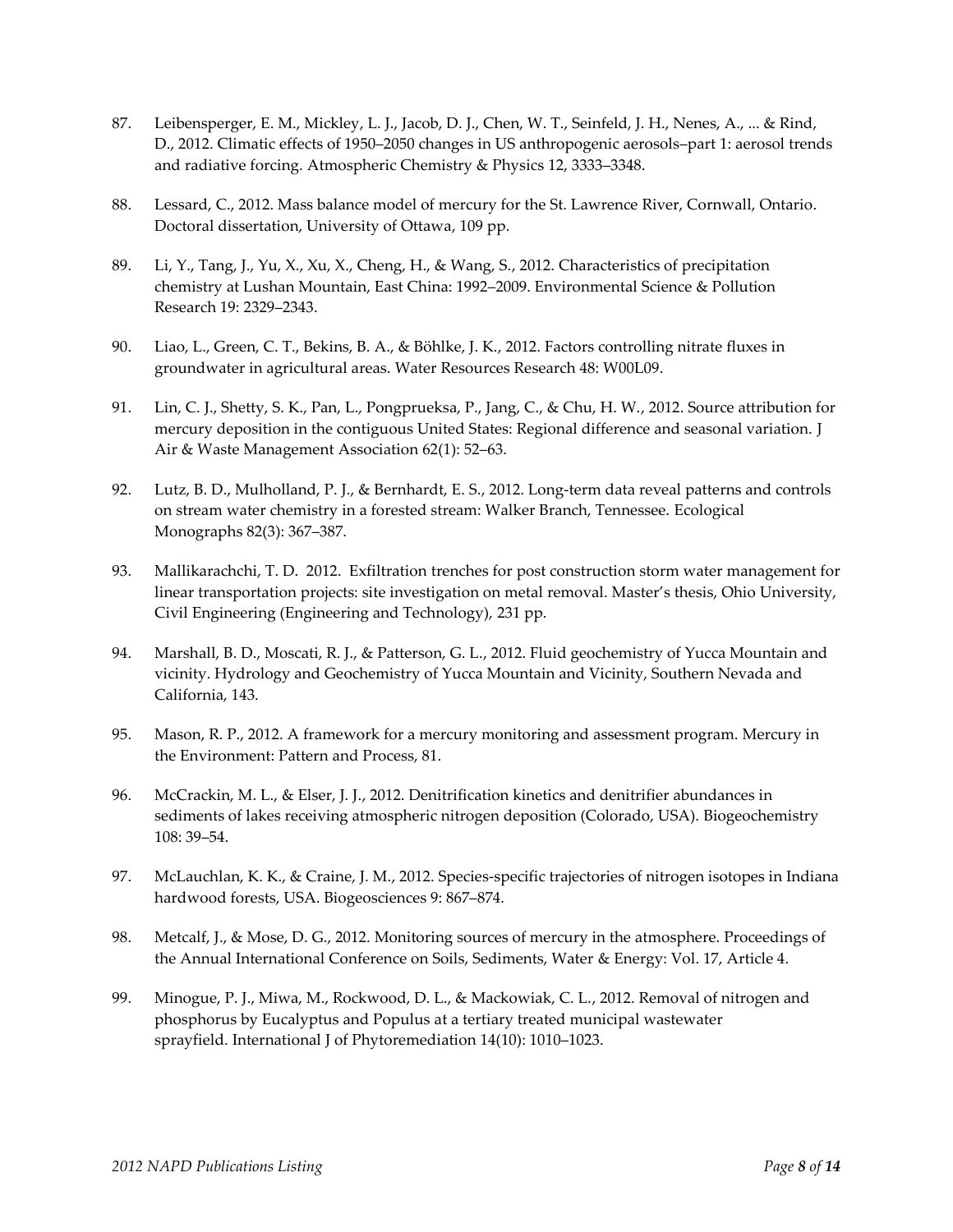- 87. Leibensperger, E. M., Mickley, L. J., Jacob, D. J., Chen, W. T., Seinfeld, J. H., Nenes, A., ... & Rind, D., 2012. Climatic effects of 1950–2050 changes in US anthropogenic aerosols–part 1: aerosol trends and radiative forcing. Atmospheric Chemistry & Physics 12, 3333–3348.
- 88. Lessard, C., 2012. Mass balance model of mercury for the St. Lawrence River, Cornwall, Ontario. Doctoral dissertation, University of Ottawa, 109 pp.
- 89. Li, Y., Tang, J., Yu, X., Xu, X., Cheng, H., & Wang, S., 2012. Characteristics of precipitation chemistry at Lushan Mountain, East China: 1992–2009. Environmental Science & Pollution Research 19: 2329–2343.
- 90. Liao, L., Green, C. T., Bekins, B. A., & Böhlke, J. K., 2012. Factors controlling nitrate fluxes in groundwater in agricultural areas. Water Resources Research 48: W00L09.
- 91. Lin, C. J., Shetty, S. K., Pan, L., Pongprueksa, P., Jang, C., & Chu, H. W., 2012. Source attribution for mercury deposition in the contiguous United States: Regional difference and seasonal variation. J Air & Waste Management Association 62(1): 52–63.
- 92. Lutz, B. D., Mulholland, P. J., & Bernhardt, E. S., 2012. Long-term data reveal patterns and controls on stream water chemistry in a forested stream: Walker Branch, Tennessee. Ecological Monographs 82(3): 367–387.
- 93. Mallikarachchi, T. D. 2012. Exfiltration trenches for post construction storm water management for linear transportation projects: site investigation on metal removal. Master's thesis, Ohio University, Civil Engineering (Engineering and Technology), 231 pp.
- 94. Marshall, B. D., Moscati, R. J., & Patterson, G. L., 2012. Fluid geochemistry of Yucca Mountain and vicinity. Hydrology and Geochemistry of Yucca Mountain and Vicinity, Southern Nevada and California, 143.
- 95. Mason, R. P., 2012. A framework for a mercury monitoring and assessment program. Mercury in the Environment: Pattern and Process, 81.
- 96. McCrackin, M. L., & Elser, J. J., 2012. Denitrification kinetics and denitrifier abundances in sediments of lakes receiving atmospheric nitrogen deposition (Colorado, USA). Biogeochemistry 108: 39–54.
- 97. McLauchlan, K. K., & Craine, J. M., 2012. Species-specific trajectories of nitrogen isotopes in Indiana hardwood forests, USA. Biogeosciences 9: 867–874.
- 98. Metcalf, J., & Mose, D. G., 2012. Monitoring sources of mercury in the atmosphere. Proceedings of the Annual International Conference on Soils, Sediments, Water & Energy: Vol. 17, Article 4.
- 99. Minogue, P. J., Miwa, M., Rockwood, D. L., & Mackowiak, C. L., 2012. Removal of nitrogen and phosphorus by Eucalyptus and Populus at a tertiary treated municipal wastewater sprayfield. International J of Phytoremediation 14(10): 1010–1023.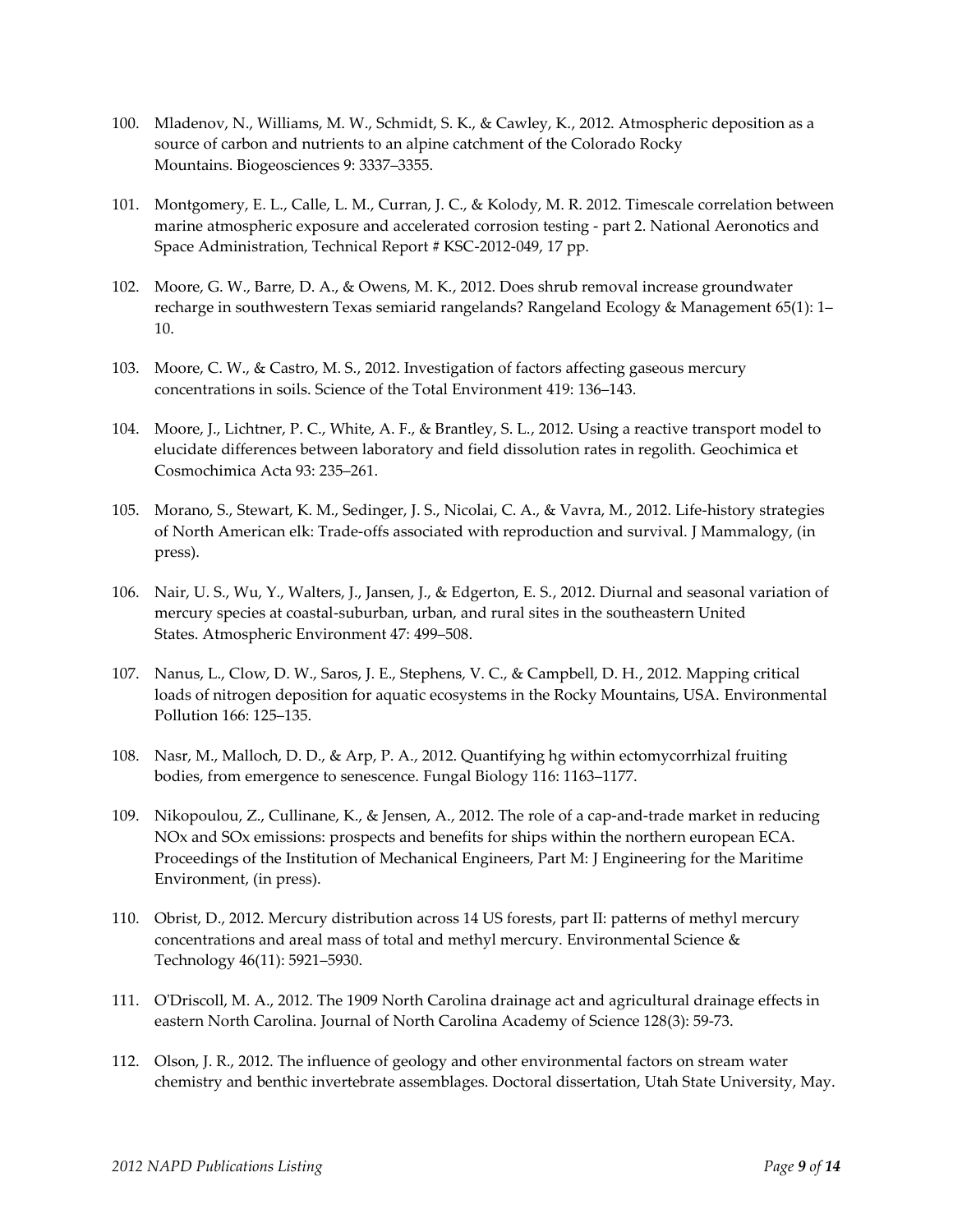- 100. Mladenov, N., Williams, M. W., Schmidt, S. K., & Cawley, K., 2012. Atmospheric deposition as a source of carbon and nutrients to an alpine catchment of the Colorado Rocky Mountains. Biogeosciences 9: 3337–3355.
- 101. Montgomery, E. L., Calle, L. M., Curran, J. C., & Kolody, M. R. 2012. Timescale correlation between marine atmospheric exposure and accelerated corrosion testing - part 2. National Aeronotics and Space Administration, Technical Report # KSC-2012-049, 17 pp.
- 102. Moore, G. W., Barre, D. A., & Owens, M. K., 2012. Does shrub removal increase groundwater recharge in southwestern Texas semiarid rangelands? Rangeland Ecology & Management 65(1): 1– 10.
- 103. Moore, C. W., & Castro, M. S., 2012. Investigation of factors affecting gaseous mercury concentrations in soils. Science of the Total Environment 419: 136–143.
- 104. Moore, J., Lichtner, P. C., White, A. F., & Brantley, S. L., 2012. Using a reactive transport model to elucidate differences between laboratory and field dissolution rates in regolith. Geochimica et Cosmochimica Acta 93: 235–261.
- 105. Morano, S., Stewart, K. M., Sedinger, J. S., Nicolai, C. A., & Vavra, M., 2012. Life-history strategies of North American elk: Trade-offs associated with reproduction and survival. J Mammalogy, (in press).
- 106. Nair, U. S., Wu, Y., Walters, J., Jansen, J., & Edgerton, E. S., 2012. Diurnal and seasonal variation of mercury species at coastal-suburban, urban, and rural sites in the southeastern United States. Atmospheric Environment 47: 499–508.
- 107. Nanus, L., Clow, D. W., Saros, J. E., Stephens, V. C., & Campbell, D. H., 2012. Mapping critical loads of nitrogen deposition for aquatic ecosystems in the Rocky Mountains, USA. Environmental Pollution 166: 125–135.
- 108. Nasr, M., Malloch, D. D., & Arp, P. A., 2012. Quantifying hg within ectomycorrhizal fruiting bodies, from emergence to senescence. Fungal Biology 116: 1163–1177.
- 109. Nikopoulou, Z., Cullinane, K., & Jensen, A., 2012. The role of a cap-and-trade market in reducing NOx and SOx emissions: prospects and benefits for ships within the northern european ECA. Proceedings of the Institution of Mechanical Engineers, Part M: J Engineering for the Maritime Environment, (in press).
- 110. Obrist, D., 2012. Mercury distribution across 14 US forests, part II: patterns of methyl mercury concentrations and areal mass of total and methyl mercury. Environmental Science & Technology 46(11): 5921–5930.
- 111. O'Driscoll, M. A., 2012. The 1909 North Carolina drainage act and agricultural drainage effects in eastern North Carolina. Journal of North Carolina Academy of Science 128(3): 59-73.
- 112. Olson, J. R., 2012. The influence of geology and other environmental factors on stream water chemistry and benthic invertebrate assemblages. Doctoral dissertation, Utah State University, May.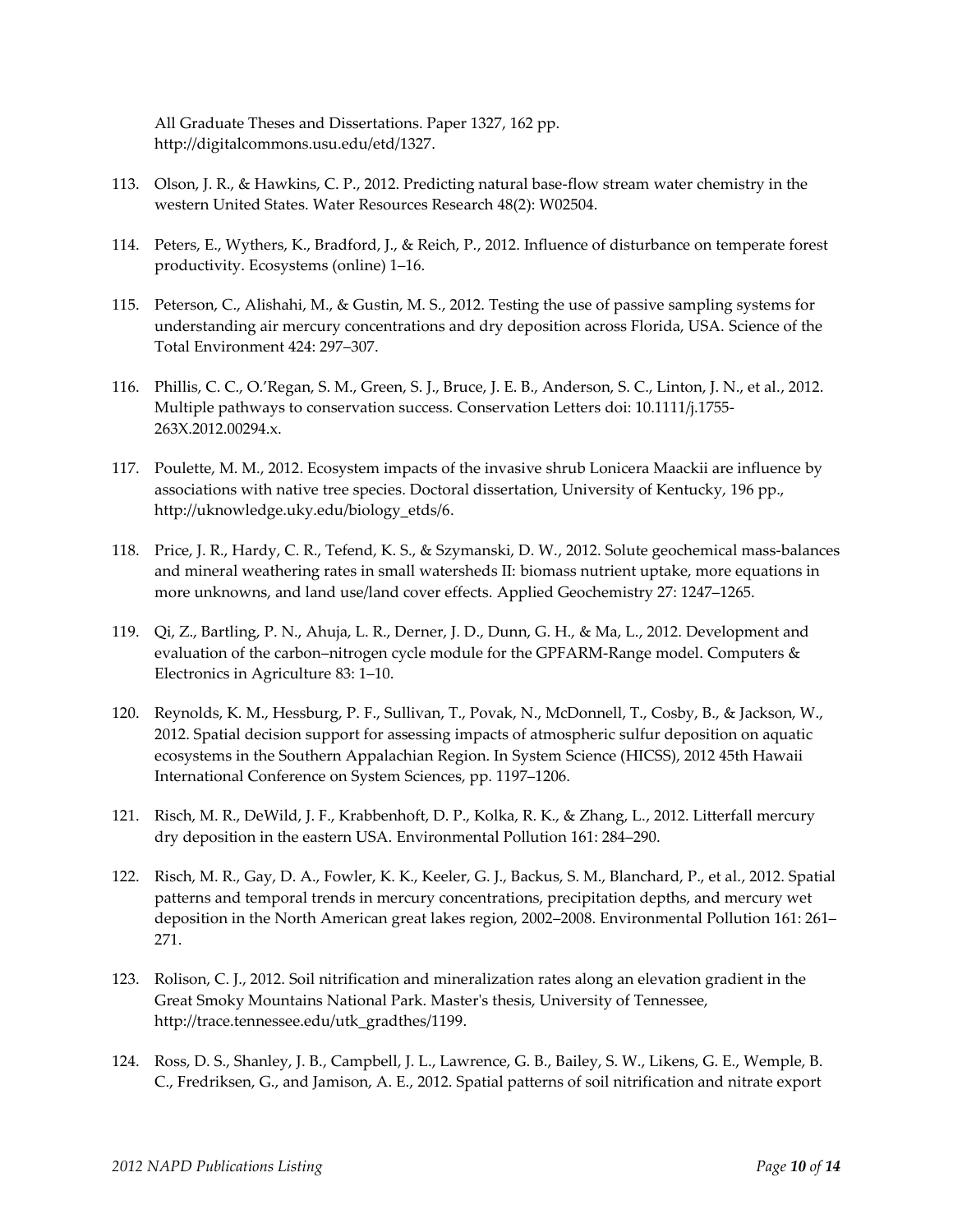All Graduate Theses and Dissertations. Paper 1327, 162 pp. http://digitalcommons.usu.edu/etd/1327.

- 113. Olson, J. R., & Hawkins, C. P., 2012. Predicting natural base-flow stream water chemistry in the western United States. Water Resources Research 48(2): W02504.
- 114. Peters, E., Wythers, K., Bradford, J., & Reich, P., 2012. Influence of disturbance on temperate forest productivity. Ecosystems (online) 1–16.
- 115. Peterson, C., Alishahi, M., & Gustin, M. S., 2012. Testing the use of passive sampling systems for understanding air mercury concentrations and dry deposition across Florida, USA. Science of the Total Environment 424: 297–307.
- 116. Phillis, C. C., O.'Regan, S. M., Green, S. J., Bruce, J. E. B., Anderson, S. C., Linton, J. N., et al., 2012. Multiple pathways to conservation success. Conservation Letters doi: 10.1111/j.1755- 263X.2012.00294.x.
- 117. Poulette, M. M., 2012. Ecosystem impacts of the invasive shrub Lonicera Maackii are influence by associations with native tree species. Doctoral dissertation, University of Kentucky, 196 pp., http://uknowledge.uky.edu/biology\_etds/6.
- 118. Price, J. R., Hardy, C. R., Tefend, K. S., & Szymanski, D. W., 2012. Solute geochemical mass-balances and mineral weathering rates in small watersheds II: biomass nutrient uptake, more equations in more unknowns, and land use/land cover effects. Applied Geochemistry 27: 1247–1265.
- 119. Qi, Z., Bartling, P. N., Ahuja, L. R., Derner, J. D., Dunn, G. H., & Ma, L., 2012. Development and evaluation of the carbon–nitrogen cycle module for the GPFARM-Range model. Computers & Electronics in Agriculture 83: 1–10.
- 120. Reynolds, K. M., Hessburg, P. F., Sullivan, T., Povak, N., McDonnell, T., Cosby, B., & Jackson, W., 2012. Spatial decision support for assessing impacts of atmospheric sulfur deposition on aquatic ecosystems in the Southern Appalachian Region. In System Science (HICSS), 2012 45th Hawaii International Conference on System Sciences, pp. 1197–1206.
- 121. Risch, M. R., DeWild, J. F., Krabbenhoft, D. P., Kolka, R. K., & Zhang, L., 2012. Litterfall mercury dry deposition in the eastern USA. Environmental Pollution 161: 284–290.
- 122. Risch, M. R., Gay, D. A., Fowler, K. K., Keeler, G. J., Backus, S. M., Blanchard, P., et al., 2012. Spatial patterns and temporal trends in mercury concentrations, precipitation depths, and mercury wet deposition in the North American great lakes region, 2002–2008. Environmental Pollution 161: 261– 271.
- 123. Rolison, C. J., 2012. Soil nitrification and mineralization rates along an elevation gradient in the Great Smoky Mountains National Park. Master's thesis, University of Tennessee, [http://trace.tennessee.edu/utk\\_gradthes/1199.](http://trace.tennessee.edu/utk_gradthes/1199)
- 124. Ross, D. S., Shanley, J. B., Campbell, J. L., Lawrence, G. B., Bailey, S. W., Likens, G. E., Wemple, B. C., Fredriksen, G., and Jamison, A. E., 2012. Spatial patterns of soil nitrification and nitrate export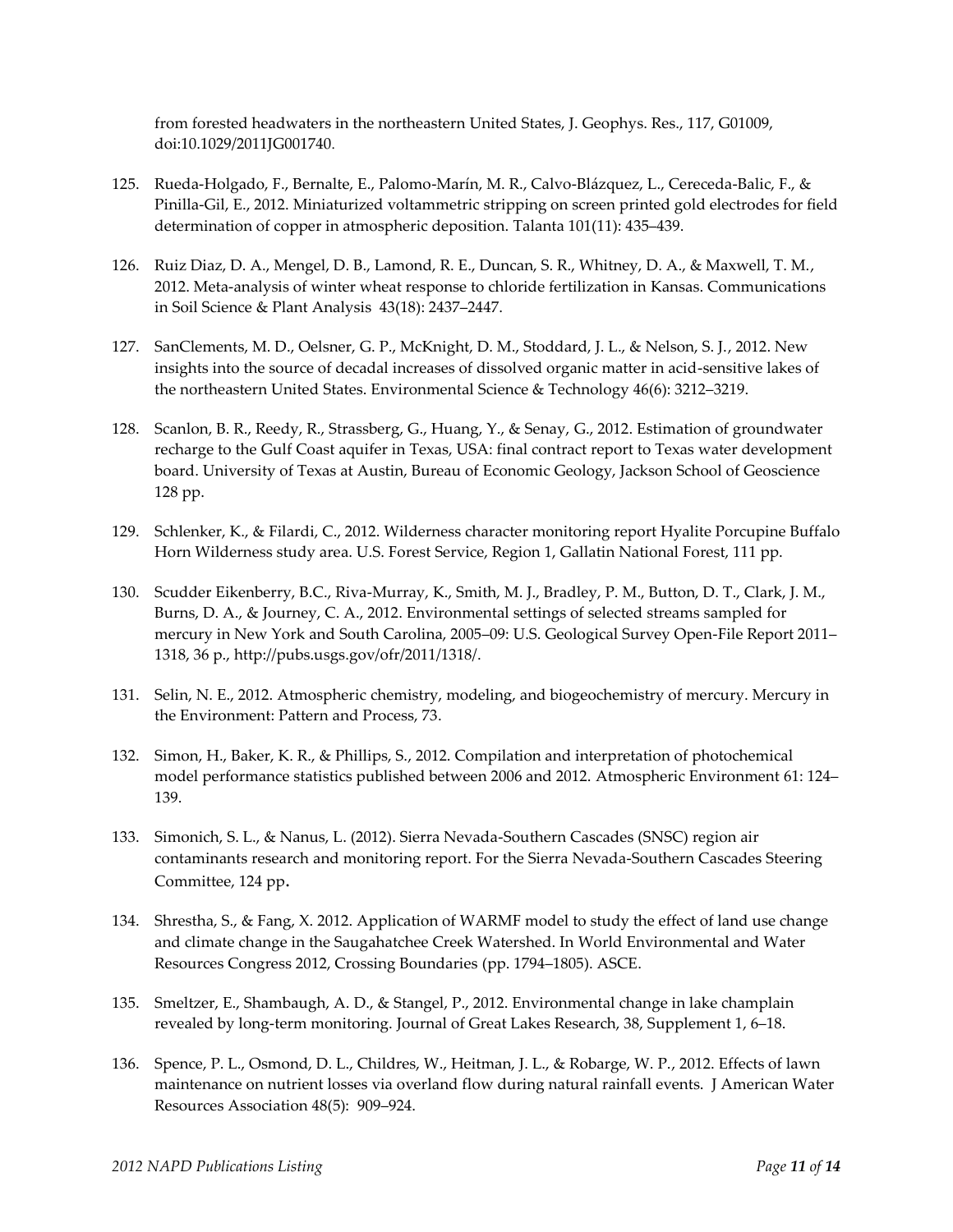from forested headwaters in the northeastern United States, J. Geophys. Res., 117, G01009, doi:10.1029/2011JG001740.

- 125. Rueda-Holgado, F., Bernalte, E., Palomo-Marín, M. R., Calvo-Blázquez, L., Cereceda-Balic, F., & Pinilla-Gil, E., 2012. Miniaturized voltammetric stripping on screen printed gold electrodes for field determination of copper in atmospheric deposition. Talanta 101(11): 435–439.
- 126. Ruiz Diaz, D. A., Mengel, D. B., Lamond, R. E., Duncan, S. R., Whitney, D. A., & Maxwell, T. M., 2012. Meta-analysis of winter wheat response to chloride fertilization in Kansas. Communications in Soil Science & Plant Analysis 43(18): 2437–2447.
- 127. SanClements, M. D., Oelsner, G. P., McKnight, D. M., Stoddard, J. L., & Nelson, S. J., 2012. New insights into the source of decadal increases of dissolved organic matter in acid-sensitive lakes of the northeastern United States. Environmental Science & Technology 46(6): 3212–3219.
- 128. Scanlon, B. R., Reedy, R., Strassberg, G., Huang, Y., & Senay, G., 2012. Estimation of groundwater recharge to the Gulf Coast aquifer in Texas, USA: final contract report to Texas water development board. University of Texas at Austin, Bureau of Economic Geology, Jackson School of Geoscience 128 pp.
- 129. Schlenker, K., & Filardi, C., 2012. Wilderness character monitoring report Hyalite Porcupine Buffalo Horn Wilderness study area. U.S. Forest Service, Region 1, Gallatin National Forest, 111 pp.
- 130. Scudder Eikenberry, B.C., Riva-Murray, K., Smith, M. J., Bradley, P. M., Button, D. T., Clark, J. M., Burns, D. A., & Journey, C. A., 2012. Environmental settings of selected streams sampled for mercury in New York and South Carolina, 2005–09: U.S. Geological Survey Open-File Report 2011– 1318, 36 p., [http://pubs.usgs.gov/ofr/2011/1318/.](http://pubs.usgs.gov/ofr/2011/1318/)
- 131. Selin, N. E., 2012. Atmospheric chemistry, modeling, and biogeochemistry of mercury. Mercury in the Environment: Pattern and Process, 73.
- 132. Simon, H., Baker, K. R., & Phillips, S., 2012. Compilation and interpretation of photochemical model performance statistics published between 2006 and 2012. Atmospheric Environment 61: 124– 139.
- 133. Simonich, S. L., & Nanus, L. (2012). Sierra Nevada-Southern Cascades (SNSC) region air contaminants research and monitoring report. For the Sierra Nevada-Southern Cascades Steering Committee, 124 pp.
- 134. Shrestha, S., & Fang, X. 2012. Application of WARMF model to study the effect of land use change and climate change in the Saugahatchee Creek Watershed. In World Environmental and Water Resources Congress 2012, Crossing Boundaries (pp. 1794–1805). ASCE.
- 135. Smeltzer, E., Shambaugh, A. D., & Stangel, P., 2012. Environmental change in lake champlain revealed by long-term monitoring. Journal of Great Lakes Research, 38, Supplement 1, 6–18.
- 136. Spence, P. L., Osmond, D. L., Childres, W., Heitman, J. L., & Robarge, W. P., 2012. Effects of lawn maintenance on nutrient losses via overland flow during natural rainfall events. J American Water Resources Association 48(5): 909–924.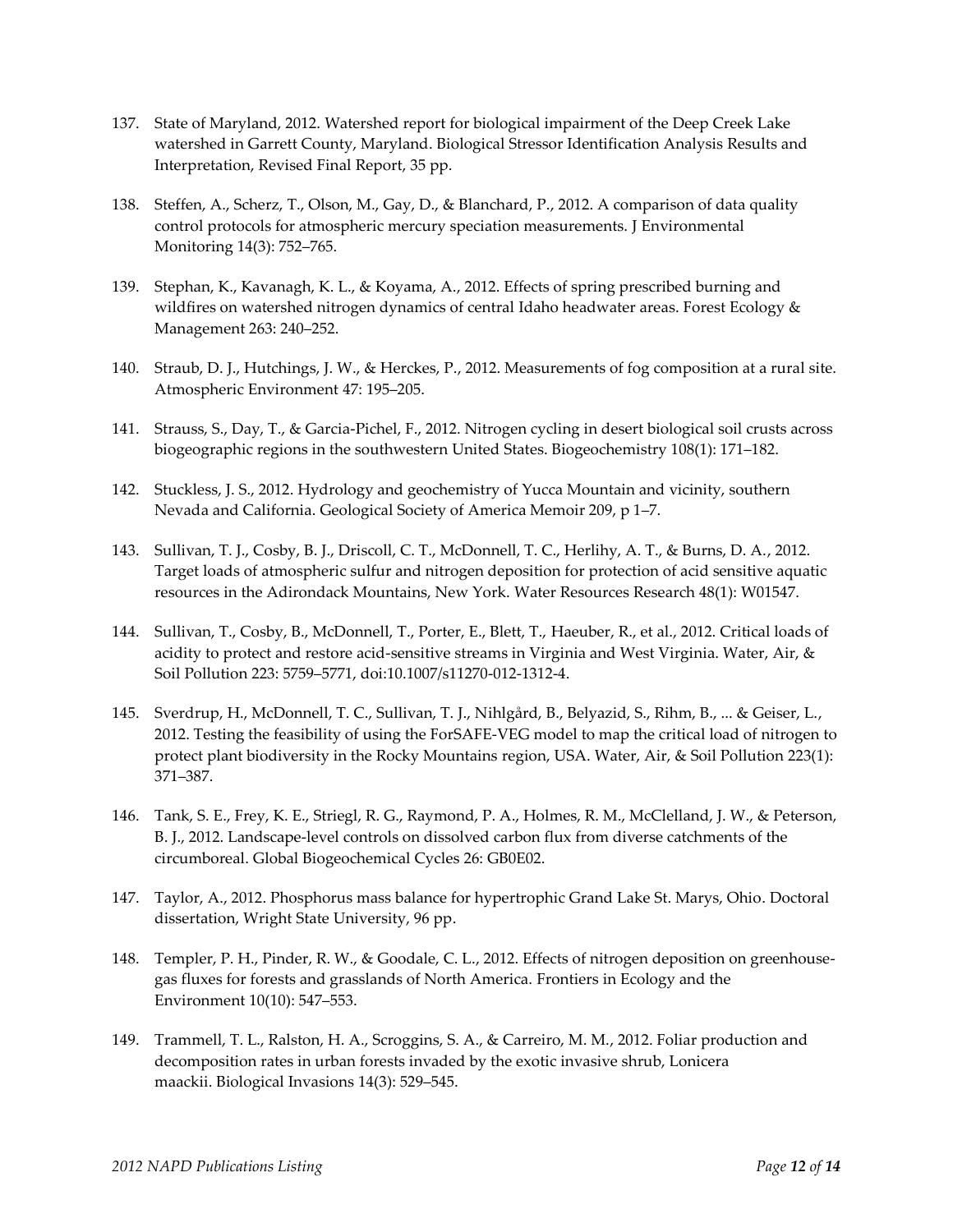- 137. State of Maryland, 2012. Watershed report for biological impairment of the Deep Creek Lake watershed in Garrett County, Maryland. Biological Stressor Identification Analysis Results and Interpretation, Revised Final Report, 35 pp.
- 138. Steffen, A., Scherz, T., Olson, M., Gay, D., & Blanchard, P., 2012. A comparison of data quality control protocols for atmospheric mercury speciation measurements. J Environmental Monitoring 14(3): 752–765.
- 139. Stephan, K., Kavanagh, K. L., & Koyama, A., 2012. Effects of spring prescribed burning and wildfires on watershed nitrogen dynamics of central Idaho headwater areas. Forest Ecology & Management 263: 240–252.
- 140. Straub, D. J., Hutchings, J. W., & Herckes, P., 2012. Measurements of fog composition at a rural site. Atmospheric Environment 47: 195–205.
- 141. Strauss, S., Day, T., & Garcia-Pichel, F., 2012. Nitrogen cycling in desert biological soil crusts across biogeographic regions in the southwestern United States. Biogeochemistry 108(1): 171–182.
- 142. Stuckless, J. S., 2012. Hydrology and geochemistry of Yucca Mountain and vicinity, southern Nevada and California. Geological Society of America Memoir 209, p 1–7.
- 143. Sullivan, T. J., Cosby, B. J., Driscoll, C. T., McDonnell, T. C., Herlihy, A. T., & Burns, D. A., 2012. Target loads of atmospheric sulfur and nitrogen deposition for protection of acid sensitive aquatic resources in the Adirondack Mountains, New York. Water Resources Research 48(1): W01547.
- 144. Sullivan, T., Cosby, B., McDonnell, T., Porter, E., Blett, T., Haeuber, R., et al., 2012. Critical loads of acidity to protect and restore acid-sensitive streams in Virginia and West Virginia. Water, Air, & Soil Pollution 223: 5759–5771, doi:10.1007/s11270-012-1312-4.
- 145. Sverdrup, H., McDonnell, T. C., Sullivan, T. J., Nihlgård, B., Belyazid, S., Rihm, B., ... & Geiser, L., 2012. Testing the feasibility of using the ForSAFE-VEG model to map the critical load of nitrogen to protect plant biodiversity in the Rocky Mountains region, USA. Water, Air, & Soil Pollution 223(1): 371–387.
- 146. Tank, S. E., Frey, K. E., Striegl, R. G., Raymond, P. A., Holmes, R. M., McClelland, J. W., & Peterson, B. J., 2012. Landscape-level controls on dissolved carbon flux from diverse catchments of the circumboreal. Global Biogeochemical Cycles 26: GB0E02.
- 147. Taylor, A., 2012. Phosphorus mass balance for hypertrophic Grand Lake St. Marys, Ohio. Doctoral dissertation, Wright State University, 96 pp.
- 148. Templer, P. H., Pinder, R. W., & Goodale, C. L., 2012. Effects of nitrogen deposition on greenhousegas fluxes for forests and grasslands of North America. Frontiers in Ecology and the Environment 10(10): 547–553.
- 149. Trammell, T. L., Ralston, H. A., Scroggins, S. A., & Carreiro, M. M., 2012. Foliar production and decomposition rates in urban forests invaded by the exotic invasive shrub, Lonicera maackii. Biological Invasions 14(3): 529–545.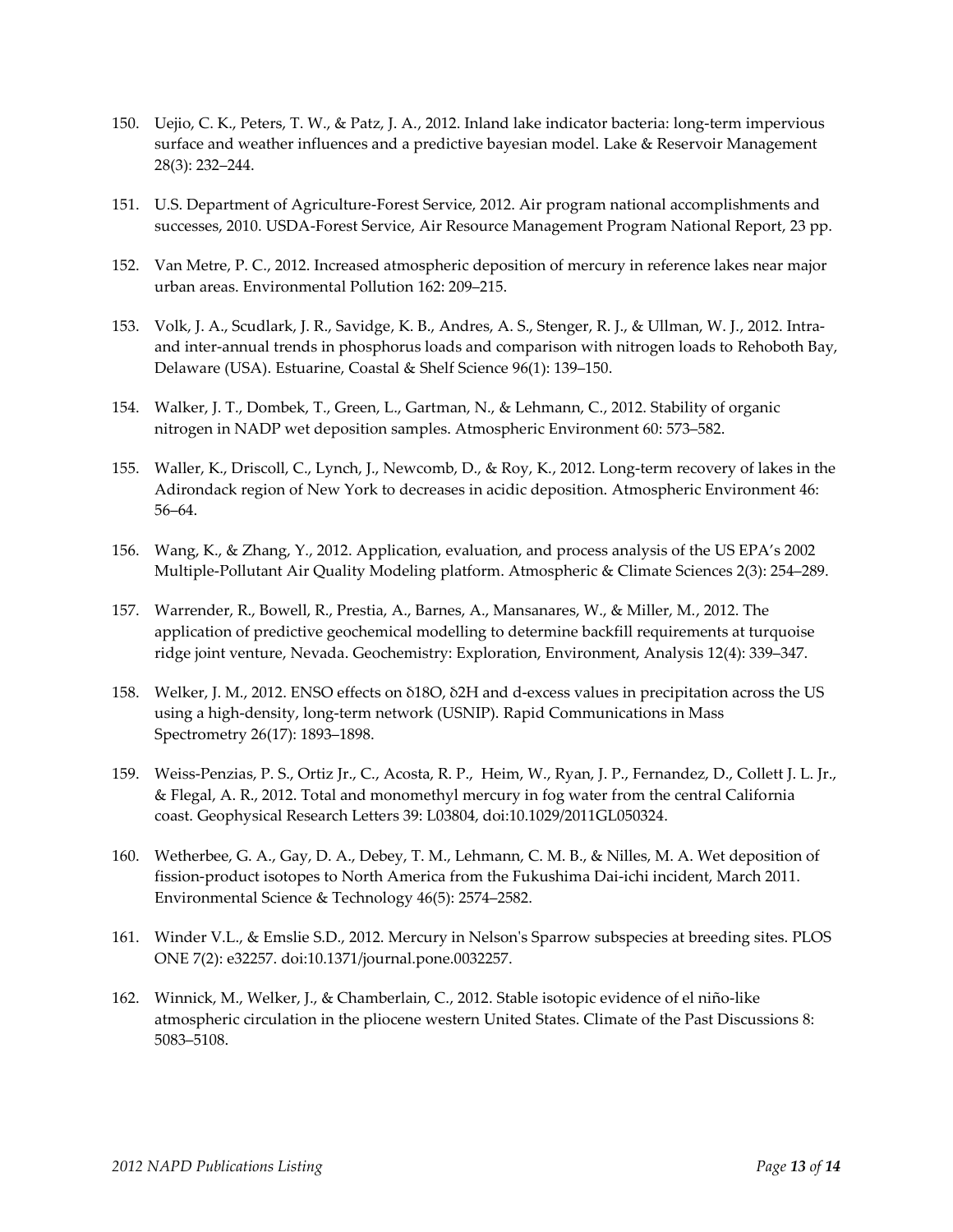- 150. Uejio, C. K., Peters, T. W., & Patz, J. A., 2012. Inland lake indicator bacteria: long-term impervious surface and weather influences and a predictive bayesian model. Lake & Reservoir Management 28(3): 232–244.
- 151. U.S. Department of Agriculture-Forest Service, 2012. Air program national accomplishments and successes, 2010. USDA-Forest Service, Air Resource Management Program National Report, 23 pp.
- 152. Van Metre, P. C., 2012. Increased atmospheric deposition of mercury in reference lakes near major urban areas. Environmental Pollution 162: 209–215.
- 153. Volk, J. A., Scudlark, J. R., Savidge, K. B., Andres, A. S., Stenger, R. J., & Ullman, W. J., 2012. Intraand inter-annual trends in phosphorus loads and comparison with nitrogen loads to Rehoboth Bay, Delaware (USA). Estuarine, Coastal & Shelf Science 96(1): 139–150.
- 154. Walker, J. T., Dombek, T., Green, L., Gartman, N., & Lehmann, C., 2012. Stability of organic nitrogen in NADP wet deposition samples. Atmospheric Environment 60: 573–582.
- 155. Waller, K., Driscoll, C., Lynch, J., Newcomb, D., & Roy, K., 2012. Long-term recovery of lakes in the Adirondack region of New York to decreases in acidic deposition. Atmospheric Environment 46: 56–64.
- 156. Wang, K., & Zhang, Y., 2012. Application, evaluation, and process analysis of the US EPA's 2002 Multiple-Pollutant Air Quality Modeling platform. Atmospheric & Climate Sciences 2(3): 254–289.
- 157. Warrender, R., Bowell, R., Prestia, A., Barnes, A., Mansanares, W., & Miller, M., 2012. The application of predictive geochemical modelling to determine backfill requirements at turquoise ridge joint venture, Nevada. Geochemistry: Exploration, Environment, Analysis 12(4): 339–347.
- 158. Welker, J. M., 2012. ENSO effects on δ18O, δ2H and d‐excess values in precipitation across the US using a high-density, long-term network (USNIP). Rapid Communications in Mass Spectrometry 26(17): 1893–1898.
- 159. Weiss-Penzias, P. S., Ortiz Jr., C., Acosta, R. P., Heim, W., Ryan, J. P., Fernandez, D., Collett J. L. Jr., & Flegal, A. R., 2012. Total and monomethyl mercury in fog water from the central California coast. Geophysical Research Letters 39: L03804, doi:10.1029/2011GL050324.
- 160. Wetherbee, G. A., Gay, D. A., Debey, T. M., Lehmann, C. M. B., & Nilles, M. A. Wet deposition of fission-product isotopes to North America from the Fukushima Dai-ichi incident, March 2011. Environmental Science & Technology 46(5): 2574–2582.
- 161. Winder V.L., & Emslie S.D., 2012. Mercury in Nelson's Sparrow subspecies at breeding sites. PLOS ONE 7(2): e32257. doi:10.1371/journal.pone.0032257.
- 162. Winnick, M., Welker, J., & Chamberlain, C., 2012. Stable isotopic evidence of el niño-like atmospheric circulation in the pliocene western United States. Climate of the Past Discussions 8: 5083–5108.